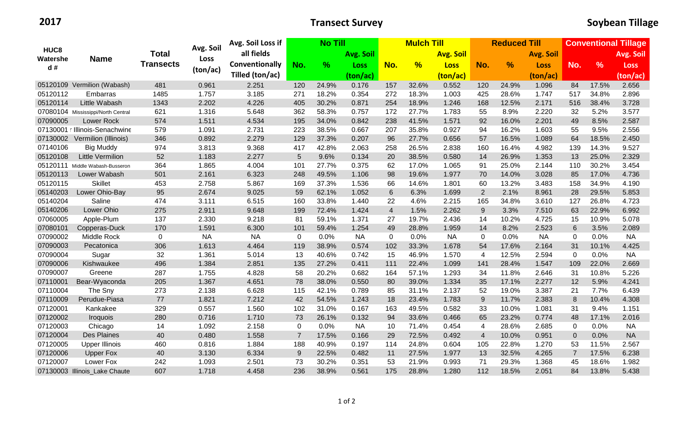|                                    | <b>Name</b>                        | <b>Total</b>     |           | Avg. Soil Loss if | <b>No Till</b> |       |           | <b>Mulch Till</b> |               |                  | <b>Reduced Till</b>     |       |                  | <b>Conventional Tillage</b> |               |             |
|------------------------------------|------------------------------------|------------------|-----------|-------------------|----------------|-------|-----------|-------------------|---------------|------------------|-------------------------|-------|------------------|-----------------------------|---------------|-------------|
| HUC <sub>8</sub><br>Watershe<br>d# |                                    |                  | Avg. Soil | all fields        |                |       | Avg. Soil |                   |               | <b>Avg. Soil</b> |                         |       | <b>Avg. Soil</b> |                             |               | Avg. Soil   |
|                                    |                                    | <b>Transects</b> | Loss      | Conventionally    | No.            | $\%$  | Loss      | No.               | $\frac{9}{6}$ | <b>Loss</b>      | No.                     | %     | Loss             | No.                         | $\frac{9}{6}$ | <b>Loss</b> |
|                                    |                                    |                  | (ton/ac)  | Tilled (ton/ac)   |                |       | (ton/ac)  |                   |               | (ton/ac)         |                         |       | (ton/ac)         |                             |               | (ton/ac)    |
|                                    | 05120109 Vermilion (Wabash)        | 481              | 0.961     | 2.251             | 120            | 24.9% | 0.176     | 157               | 32.6%         | 0.552            | 120                     | 24.9% | 1.096            | 84                          | 17.5%         | 2.656       |
| 05120112                           | Embarras                           | 1485             | 1.757     | 3.185             | 271            | 18.2% | 0.354     | 272               | 18.3%         | 1.003            | 425                     | 28.6% | 1.747            | 517                         | 34.8%         | 2.896       |
| 05120114                           | Little Wabash                      | 1343             | 2.202     | 4.226             | 405            | 30.2% | 0.871     | 254               | 18.9%         | 1.246            | 168                     | 12.5% | 2.171            | 516                         | 38.4%         | 3.728       |
|                                    | 07080104 Mississippi/North Central | 621              | 1.316     | 5.648             | 362            | 58.3% | 0.757     | 172               | 27.7%         | 1.783            | 55                      | 8.9%  | 2.220            | 32                          | 5.2%          | 3.577       |
| 07090005                           | Lower Rock                         | 574              | 1.511     | 4.534             | 195            | 34.0% | 0.842     | 238               | 41.5%         | 1.571            | 92                      | 16.0% | 2.201            | 49                          | 8.5%          | 2.587       |
|                                    | 07130001 r Illinois-Senachwine     | 579              | 1.091     | 2.731             | 223            | 38.5% | 0.667     | 207               | 35.8%         | 0.927            | 94                      | 16.2% | 1.603            | 55                          | 9.5%          | 2.556       |
| 07130002                           | Vermilion (Illinois)               | 346              | 0.892     | 2.279             | 129            | 37.3% | 0.207     | 96                | 27.7%         | 0.656            | 57                      | 16.5% | 1.089            | 64                          | 18.5%         | 2.450       |
| 07140106                           | <b>Big Muddy</b>                   | 974              | 3.813     | 9.368             | 417            | 42.8% | 2.063     | 258               | 26.5%         | 2.838            | 160                     | 16.4% | 4.982            | 139                         | 14.3%         | 9.527       |
| 05120108                           | <b>Little Vermilion</b>            | 52               | 1.183     | 2.277             | 5              | 9.6%  | 0.134     | 20                | 38.5%         | 0.580            | 14                      | 26.9% | 1.353            | 13                          | 25.0%         | 2.329       |
| 05120111                           | Middle Wabash-Busseron             | 364              | 1.865     | 4.004             | 101            | 27.7% | 0.375     | 62                | 17.0%         | 1.065            | 91                      | 25.0% | 2.144            | 110                         | 30.2%         | 3.454       |
| 05120113                           | Lower Wabash                       | 501              | 2.161     | 6.323             | 248            | 49.5% | 1.106     | 98                | 19.6%         | 1.977            | 70                      | 14.0% | 3.028            | 85                          | 17.0%         | 4.736       |
| 05120115                           | <b>Skillet</b>                     | 453              | 2.758     | 5.867             | 169            | 37.3% | 1.536     | 66                | 14.6%         | 1.801            | 60                      | 13.2% | 3.483            | 158                         | 34.9%         | 4.190       |
| 05140203                           | Lower Ohio-Bay                     | 95               | 2.674     | 9.025             | 59             | 62.1% | 1.052     | $\,6\,$           | 6.3%          | 1.699            | 2                       | 2.1%  | 8.961            | 28                          | 29.5%         | 5.853       |
| 05140204                           | Saline                             | 474              | 3.111     | 6.515             | 160            | 33.8% | 1.440     | 22                | 4.6%          | 2.215            | 165                     | 34.8% | 3.610            | 127                         | 26.8%         | 4.723       |
| 05140206                           | Lower Ohio                         | 275              | 2.911     | 9.648             | 199            | 72.4% | 1.424     | $\overline{4}$    | 1.5%          | 2.262            | 9                       | 3.3%  | 7.510            | 63                          | 22.9%         | 6.992       |
| 07060005                           | Apple-Plum                         | 137              | 2.330     | 9.218             | 81             | 59.1% | 1.371     | 27                | 19.7%         | 2.436            | 14                      | 10.2% | 4.725            | 15                          | 10.9%         | 5.078       |
| 07080101                           | Copperas-Duck                      | 170              | 1.591     | 6.300             | 101            | 59.4% | 1.254     | 49                | 28.8%         | 1.959            | 14                      | 8.2%  | 2.523            | 6                           | 3.5%          | 2.089       |
| 07090002                           | Middle Rock                        | $\mathbf 0$      | <b>NA</b> | <b>NA</b>         | $\mathbf 0$    | 0.0%  | <b>NA</b> | $\mathbf 0$       | 0.0%          | <b>NA</b>        | $\mathbf 0$             | 0.0%  | <b>NA</b>        | 0                           | 0.0%          | <b>NA</b>   |
| 07090003                           | Pecatonica                         | 306              | 1.613     | 4.464             | 119            | 38.9% | 0.574     | 102               | 33.3%         | 1.678            | 54                      | 17.6% | 2.164            | 31                          | 10.1%         | 4.425       |
| 07090004                           | Sugar                              | 32               | 1.361     | 5.014             | 13             | 40.6% | 0.742     | 15                | 46.9%         | 1.570            | $\overline{\mathbf{4}}$ | 12.5% | 2.594            | 0                           | 0.0%          | <b>NA</b>   |
| 07090006                           | Kishwaukee                         | 496              | 1.384     | 2.851             | 135            | 27.2% | 0.411     | 111               | 22.4%         | 1.099            | 141                     | 28.4% | 1.547            | 109                         | 22.0%         | 2.669       |
| 07090007                           | Greene                             | 287              | 1.755     | 4.828             | 58             | 20.2% | 0.682     | 164               | 57.1%         | 1.293            | 34                      | 11.8% | 2.646            | 31                          | 10.8%         | 5.226       |
| 07110001                           | Bear-Wyaconda                      | 205              | 1.367     | 4.651             | 78             | 38.0% | 0.550     | 80                | 39.0%         | 1.334            | 35                      | 17.1% | 2.277            | 12                          | 5.9%          | 4.241       |
| 07110004                           | The Sny                            | 273              | 2.138     | 6.628             | 115            | 42.1% | 0.789     | 85                | 31.1%         | 2.137            | 52                      | 19.0% | 3.387            | 21                          | 7.7%          | 6.439       |
| 07110009                           | Perudue-Piasa                      | 77               | 1.821     | 7.212             | 42             | 54.5% | 1.243     | 18                | 23.4%         | 1.783            | $\boldsymbol{9}$        | 11.7% | 2.383            | 8                           | 10.4%         | 4.308       |
| 07120001                           | Kankakee                           | 329              | 0.557     | 1.560             | 102            | 31.0% | 0.167     | 163               | 49.5%         | 0.582            | 33                      | 10.0% | 1.081            | 31                          | 9.4%          | 1.151       |
| 07120002                           | Iroquois                           | 280              | 0.716     | 1.710             | 73             | 26.1% | 0.132     | 94                | 33.6%         | 0.466            | 65                      | 23.2% | 0.774            | 48                          | 17.1%         | 2.016       |
| 07120003                           | Chicago                            | 14               | 1.092     | 2.158             | 0              | 0.0%  | <b>NA</b> | 10                | 71.4%         | 0.454            | $\overline{4}$          | 28.6% | 2.685            | 0                           | 0.0%          | <b>NA</b>   |
| 07120004                           | <b>Des Plaines</b>                 | 40               | 0.480     | 1.558             | $\overline{7}$ | 17.5% | 0.166     | 29                | 72.5%         | 0.492            | $\overline{4}$          | 10.0% | 0.951            | $\mathbf 0$                 | 0.0%          | <b>NA</b>   |
| 07120005                           | <b>Upper Illinois</b>              | 460              | 0.816     | 1.884             | 188            | 40.9% | 0.197     | 114               | 24.8%         | 0.604            | 105                     | 22.8% | 1.270            | 53                          | 11.5%         | 2.567       |
| 07120006                           | <b>Upper Fox</b>                   | 40               | 3.130     | 6.334             | 9              | 22.5% | 0.482     | 11                | 27.5%         | 1.977            | 13                      | 32.5% | 4.265            | $\overline{7}$              | 17.5%         | 6.238       |
| 07120007                           | Lower Fox                          | 242              | 1.093     | 2.501             | 73             | 30.2% | 0.351     | 53                | 21.9%         | 0.993            | 71                      | 29.3% | 1.368            | 45                          | 18.6%         | 1.982       |
|                                    | 07130003 Illinois_Lake Chaute      | 607              | 1.718     | 4.458             | 236            | 38.9% | 0.561     | 175               | 28.8%         | 1.280            | 112                     | 18.5% | 2.051            | 84                          | 13.8%         | 5.438       |